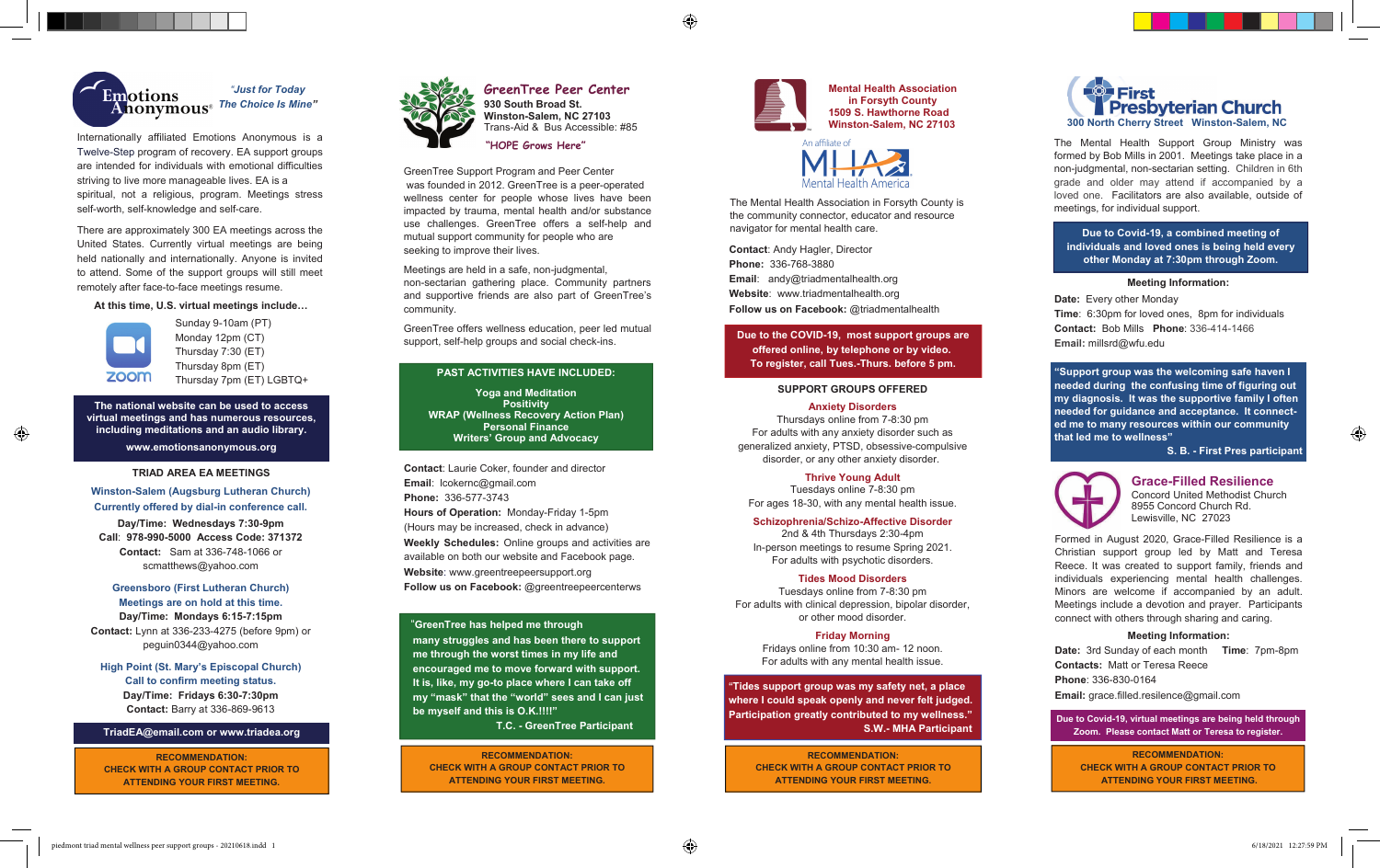

Internationally affiliated Emotions Anonymous is a Twelve-Step program of recovery. EA support groups are intended for individuals with emotional difficulties striving to live more manageable lives. EA is a spiritual, not a religious, program. Meetings stress self-worth, self-knowledge and self-care.

There are approximately 300 EA meetings across the United States. Currently virtual meetings are being held nationally and internationally. Anyone is invited to attend. Some of the support groups will still meet remotely after face-to-face meetings resume.

### **At this time, U.S. virtual meetings include…**



⊕

Sunday 9-10am (PT) Monday 12pm (CT) Thursday 7:30 (ET) Thursday 8pm (ET) Thursday 7pm (ET) LGBTQ+

**The national website can be used to access virtual meetings and has numerous resources, including meditations and an audio library.** 

**www.emotionsanonymous.org** 

### **TRIAD AREA EA MEETINGS**

**Winston-Salem (Augsburg Lutheran Church) Currently offered by dial-in conference call. Day/Time: Wednesdays 7:30-9pm Call**: **978-990-5000 Access Code: 371372 Contact:** Sam at 336-748-1066 or scmatthews@yahoo.com

# **Greensboro (First Lutheran Church) Meetings are on hold at this time. Day/Time: Mondays 6:15-7:15pm Contact:** Lynn at 336-233-4275 (before 9pm) or peguin0344@yahoo.com

**High Point (St. Mary's Episcopal Church) Call to confirm meeting status. Day/Time: Fridays 6:30-7:30pm Contact:** Barry at 336-869-9613

#### **TriadEA@email.com or www.triadea.org**

**RECOMMENDATION: CHECK WITH A GROUP CONTACT PRIOR TO ATTENDING YOUR FIRST MEETING.** 



**GreenTree Peer Center 930 South Broad St. Winston-Salem, NC 27103**  Trans-Aid & Bus Accessible: #85 **"HOPE Grows Here"**

♠

GreenTree Support Program and Peer Center was founded in 2012. GreenTree is a peer-operated wellness center for people whose lives have been impacted by trauma, mental health and/or substance use challenges. GreenTree offers a self-help and mutual support community for people who are seeking to improve their lives.

Meetings are held in a safe, non-judgmental, non-sectarian gathering place. Community partners and supportive friends are also part of GreenTree's community.

GreenTree offers wellness education, peer led mutual support, self-help groups and social check-ins.

### **PAST ACTIVITIES HAVE INCLUDED:**

**Yoga and Meditation Positivity WRAP (Wellness Recovery Action Plan) Personal Finance Writers' Group and Advocacy** 

**Contact**: Laurie Coker, founder and director **Email**: lcokernc@gmail.com **Phone:** 336-577-3743 **Hours of Operation:** Monday-Friday 1-5pm (Hours may be increased, check in advance) **Weekly Schedules:** Online groups and activities are available on both our website and Facebook page. **Website**: www.greentreepeersupport.org **Follow us on Facebook:** @greentreepeercenterws

### "**GreenTree has helped me through**

 **many struggles and has been there to support me through the worst times in my life and encouraged me to move forward with support. It is, like, my go-to place where I can take off my "mask" that the "world" sees and I can just be myself and this is O.K.!!!!"** 

 **T.C. - GreenTree Participant** 

**RECOMMENDATION: CHECK WITH A GROUP CONTACT PRIOR TO ATTENDING YOUR FIRST MEETING.** 





The Mental Health Association in Forsyth County is the community connector, educator and resource navigator for mental health care.

**Contact**: Andy Hagler, Director **Phone:** 336-768-3880 **Email**: andy@triadmentalhealth.org **Website**: www.triadmentalhealth.org **Follow us on Facebook:** @triadmentalhealth

**Due to the COVID-19, most support groups are offered online, by telephone or by video. To register, call Tues.-Thurs. before 5 pm.** 

### **SUPPORT GROUPS OFFERED**

**Anxiety Disorders**  Thursdays online from 7-8:30 pm For adults with any anxiety disorder such as generalized anxiety, PTSD, obsessive-compulsive disorder, or any other anxiety disorder.

**Thrive Young Adult**  Tuesdays online 7-8:30 pm For ages 18-30, with any mental health issue.

**Schizophrenia/Schizo-Affective Disorder**  2nd & 4th Thursdays 2:30-4pm

In-person meetings to resume Spring 2021. For adults with psychotic disorders.

**Tides Mood Disorders**  Tuesdays online from 7-8:30 pm For adults with clinical depression, bipolar disorder, or other mood disorder.

> **Friday Morning**  Fridays online from 10:30 am- 12 noon. For adults with any mental health issue.

**"Tides support group was my safety net, a place where I could speak openly and never felt judged. Participation greatly contributed to my wellness." S.W.- MHA Participant**

> **RECOMMENDATION: CHECK WITH A GROUP CONTACT PRIOR TO ATTENDING YOUR FIRST MEETING.**



The Mental Health Support Group Ministry was formed by Bob Mills in 2001. Meetings take place in a non-judgmental, non-sectarian setting. Children in 6th grade and older may attend if accompanied by a loved one. Facilitators are also available, outside of meetings, for individual support.

**Due to Covid-19, a combined meeting of individuals and loved ones is being held every other Monday at 7:30pm through Zoom.** 

### **Meeting Information:**

**Date:** Every other Monday **Time**: 6:30pm for loved ones, 8pm for individuals **Contact:** Bob Mills **Phone**: 336-414-1466 **Email:** millsrd@wfu.edu

**"Support group was the welcoming safe haven I needed during the confusing time of figuring out my diagnosis. It was the supportive family I often needed for guidance and acceptance. It connected me to many resources within our community that led me to wellness"** 

 **S. B. - First Pres participant** 

 $\bigoplus$ 



**Grace-Filled Resilience**  Concord United Methodist Church 8955 Concord Church Rd. Lewisville, NC 27023

Formed in August 2020, Grace-Filled Resilience is a Christian support group led by Matt and Teresa Reece. It was created to support family, friends and individuals experiencing mental health challenges. Minors are welcome if accompanied by an adult. Meetings include a devotion and prayer. Participants connect with others through sharing and caring.

### **Meeting Information:**

**Date:** 3rd Sunday of each month **Time**: 7pm-8pm **Contacts:** Matt or Teresa Reece **Phone**: 336-830-0164 **Email:** grace.filled.resilence@gmail.com

**Due to Covid-19, virtual meetings are being held through Zoom. Please contact Matt or Teresa to register.**

**RECOMMENDATION: CHECK WITH A GROUP CONTACT PRIOR TO ATTENDING YOUR FIRST MEETING.**